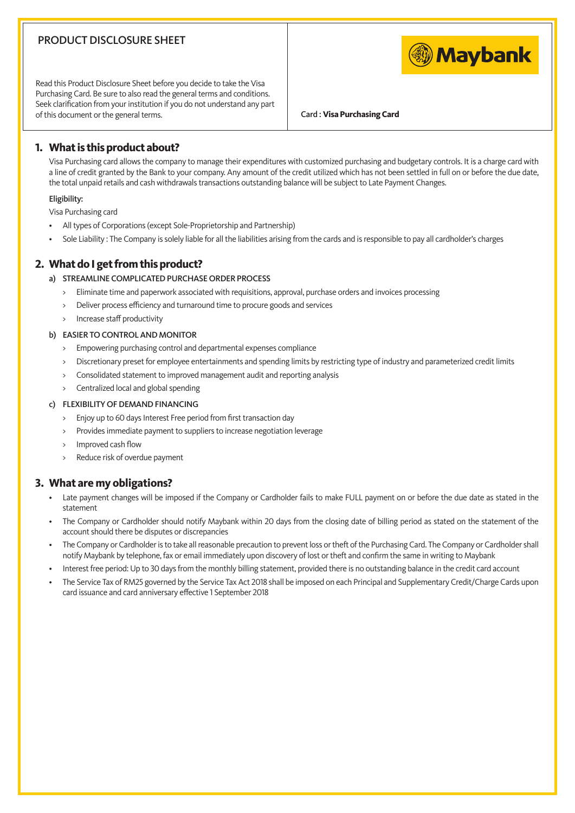# PRODUCT DISCLOSURE SHEET

Read this Product Disclosure Sheet before you decide to take the Visa Purchasing Card. Be sure to also read the general terms and conditions. Seek clarification from your institution if you do not understand any part of this document or the general terms.

**Maybank** 

Card : **Visa Purchasing Card**

### **1. What is this product about?**

 Visa Purchasing card allows the company to manage their expenditures with customized purchasing and budgetary controls. It is a charge card with a line of credit granted by the Bank to your company. Any amount of the credit utilized which has not been settled in full on or before the due date, the total unpaid retails and cash withdrawals transactions outstanding balance will be subject to Late Payment Changes.

#### Eligibility:

Visa Purchasing card

- All types of Corporations (except Sole-Proprietorship and Partnership)
- Sole Liability : The Company is solely liable for all the liabilities arising from the cards and is responsible to pay all cardholder's charges

## **2. What do I get from this product?**

- a) STREAMLINE COMPLICATED PURCHASE ORDER PROCESS
	- > Eliminate time and paperwork associated with requisitions, approval, purchase orders and invoices processing
	- Deliver process efficiency and turnaround time to procure goods and services
	- > Increase staff productivity

#### b) EASIER TO CONTROL AND MONITOR

- > Empowering purchasing control and departmental expenses compliance
- > Discretionary preset for employee entertainments and spending limits by restricting type of industry and parameterized credit limits
- > Consolidated statement to improved management audit and reporting analysis
- > Centralized local and global spending

#### c) FLEXIBILITY OF DEMAND FINANCING

- > Enjoy up to 60 days Interest Free period from first transaction day
- > Provides immediate payment to suppliers to increase negotiation leverage
- Improved cash flow
- Reduce risk of overdue payment

## **3. What are my obligations?**

- Late payment changes will be imposed if the Company or Cardholder fails to make FULL payment on or before the due date as stated in the statement
- The Company or Cardholder should notify Maybank within 20 days from the closing date of billing period as stated on the statement of the account should there be disputes or discrepancies
- The Company or Cardholder is to take all reasonable precaution to prevent loss or theft of the Purchasing Card. The Company or Cardholder shall notify Maybank by telephone, fax or email immediately upon discovery of lost or theft and confirm the same in writing to Maybank
- Interest free period: Up to 30 days from the monthly billing statement, provided there is no outstanding balance in the credit card account
- The Service Tax of RM25 governed by the Service Tax Act 2018 shall be imposed on each Principal and Supplementary Credit/Charge Cards upon card issuance and card anniversary effective 1 September 2018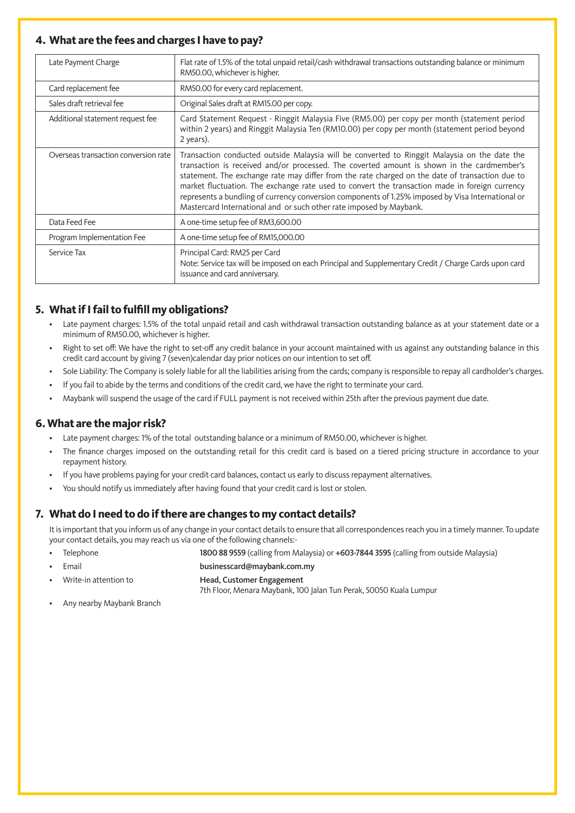## **4. What are the fees and charges I have to pay?**

| Late Payment Charge                  | Flat rate of 1.5% of the total unpaid retail/cash withdrawal transactions outstanding balance or minimum<br>RM50.00, whichever is higher.                                                                                                                                                                                                                                                                                                                                                                                                                                   |
|--------------------------------------|-----------------------------------------------------------------------------------------------------------------------------------------------------------------------------------------------------------------------------------------------------------------------------------------------------------------------------------------------------------------------------------------------------------------------------------------------------------------------------------------------------------------------------------------------------------------------------|
| Card replacement fee                 | RM50.00 for every card replacement.                                                                                                                                                                                                                                                                                                                                                                                                                                                                                                                                         |
| Sales draft retrieval fee            | Original Sales draft at RM15.00 per copy.                                                                                                                                                                                                                                                                                                                                                                                                                                                                                                                                   |
| Additional statement request fee     | Card Statement Request - Ringgit Malaysia Five (RM5.00) per copy per month (statement period<br>within 2 years) and Ringgit Malaysia Ten (RM10.00) per copy per month (statement period beyond<br>2 years).                                                                                                                                                                                                                                                                                                                                                                 |
| Overseas transaction conversion rate | Transaction conducted outside Malaysia will be converted to Ringgit Malaysia on the date the<br>transaction is received and/or processed. The coverted amount is shown in the cardmember's<br>statement. The exchange rate may differ from the rate charged on the date of transaction due to<br>market fluctuation. The exchange rate used to convert the transaction made in foreign currency<br>represents a bundling of currency conversion components of 1.25% imposed by Visa International or<br>Mastercard International and or such other rate imposed by Maybank. |
| Data Feed Fee                        | A one-time setup fee of RM3,600.00                                                                                                                                                                                                                                                                                                                                                                                                                                                                                                                                          |
| Program Implementation Fee           | A one-time setup fee of RM15,000.00                                                                                                                                                                                                                                                                                                                                                                                                                                                                                                                                         |
| Service Tax                          | Principal Card: RM25 per Card<br>Note: Service tax will be imposed on each Principal and Supplementary Credit / Charge Cards upon card<br>issuance and card anniversary.                                                                                                                                                                                                                                                                                                                                                                                                    |

# **5. What if I fail to fulfill my obligations?**

- Late payment charges: 1.5% of the total unpaid retail and cash withdrawal transaction outstanding balance as at your statement date or a minimum of RM50.00, whichever is higher.
- Right to set off: We have the right to set-off any credit balance in your account maintained with us against any outstanding balance in this credit card account by giving 7 (seven)calendar day prior notices on our intention to set off.
- Sole Liability: The Company is solely liable for all the liabilities arising from the cards; company is responsible to repay all cardholder's charges.
- If you fail to abide by the terms and conditions of the credit card, we have the right to terminate your card.
- Maybank will suspend the usage of the card if FULL payment is not received within 25th after the previous payment due date.

### **6. What are the major risk?**

- Late payment charges: 1% of the total outstanding balance or a minimum of RM50.00, whichever is higher.
- The finance charges imposed on the outstanding retail for this credit card is based on a tiered pricing structure in accordance to your repayment history.
- If you have problems paying for your credit card balances, contact us early to discuss repayment alternatives.
- You should notify us immediately after having found that your credit card is lost or stolen.

## **7. What do I need to do if there are changes to my contact details?**

It is important that you inform us of any change in your contact details to ensure that all correspondences reach you in a timely manner. To update your contact details, you may reach us via one of the following channels:-

- Telephone 1800 88 9559 (calling from Malaysia) or +603-7844 3595 (calling from outside Malaysia)
- Email businesscard@maybank.com.my
- Write-in attention to **Head, Customer Engagement**

7th Floor, Menara Maybank, 100 Jalan Tun Perak, 50050 Kuala Lumpur

• Any nearby Maybank Branch